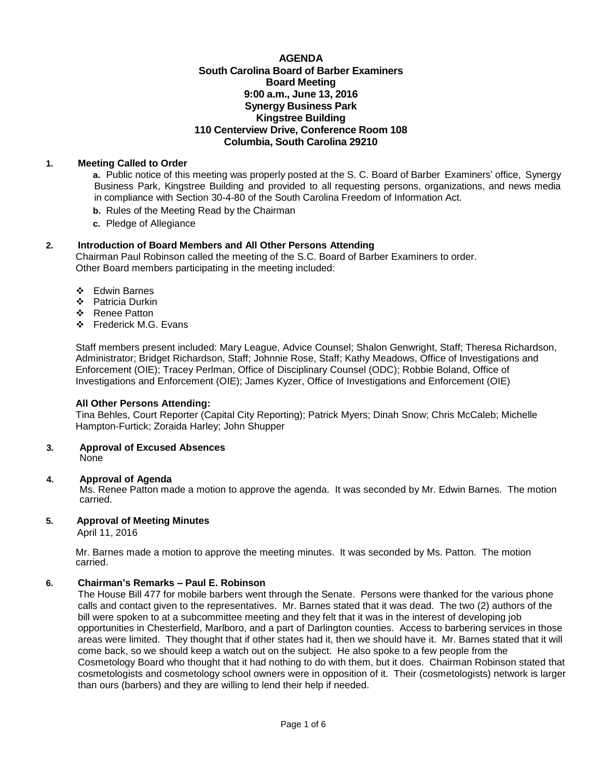# **AGENDA South Carolina Board of Barber Examiners Board Meeting 9:00 a.m., June 13, 2016 Synergy Business Park Kingstree Building 110 Centerview Drive, Conference Room 108 Columbia, South Carolina 29210**

# **1. Meeting Called to Order**

**a.** Public notice of this meeting was properly posted at the S. C. Board of Barber Examiners' office, Synergy Business Park, Kingstree Building and provided to all requesting persons, organizations, and news media in compliance with Section 30-4-80 of the South Carolina Freedom of Information Act.

- **b.** Rules of the Meeting Read by the Chairman
- **c.** Pledge of Allegiance

# **2. Introduction of Board Members and All Other Persons Attending**

Chairman Paul Robinson called the meeting of the S.C. Board of Barber Examiners to order. Other Board members participating in the meeting included:

- Edwin Barnes
- Patricia Durkin
- ❖ Renee Patton
- Frederick M.G. Evans

Staff members present included: Mary League, Advice Counsel; Shalon Genwright, Staff; Theresa Richardson, Administrator; Bridget Richardson, Staff; Johnnie Rose, Staff; Kathy Meadows, Office of Investigations and Enforcement (OIE); Tracey Perlman, Office of Disciplinary Counsel (ODC); Robbie Boland, Office of Investigations and Enforcement (OIE); James Kyzer, Office of Investigations and Enforcement (OIE)

# **All Other Persons Attending:**

Tina Behles, Court Reporter (Capital City Reporting); Patrick Myers; Dinah Snow; Chris McCaleb; Michelle Hampton-Furtick; Zoraida Harley; John Shupper

#### **3. Approval of Excused Absences** None

# **4. Approval of Agenda**

Ms. Renee Patton made a motion to approve the agenda. It was seconded by Mr. Edwin Barnes. The motion carried.

# **5. Approval of Meeting Minutes**

April 11, 2016

Mr. Barnes made a motion to approve the meeting minutes. It was seconded by Ms. Patton. The motion carried.

# **6. Chairman's Remarks – Paul E. Robinson**

The House Bill 477 for mobile barbers went through the Senate. Persons were thanked for the various phone calls and contact given to the representatives. Mr. Barnes stated that it was dead. The two (2) authors of the bill were spoken to at a subcommittee meeting and they felt that it was in the interest of developing job opportunities in Chesterfield, Marlboro, and a part of Darlington counties. Access to barbering services in those areas were limited. They thought that if other states had it, then we should have it. Mr. Barnes stated that it will come back, so we should keep a watch out on the subject. He also spoke to a few people from the Cosmetology Board who thought that it had nothing to do with them, but it does. Chairman Robinson stated that cosmetologists and cosmetology school owners were in opposition of it. Their (cosmetologists) network is larger than ours (barbers) and they are willing to lend their help if needed.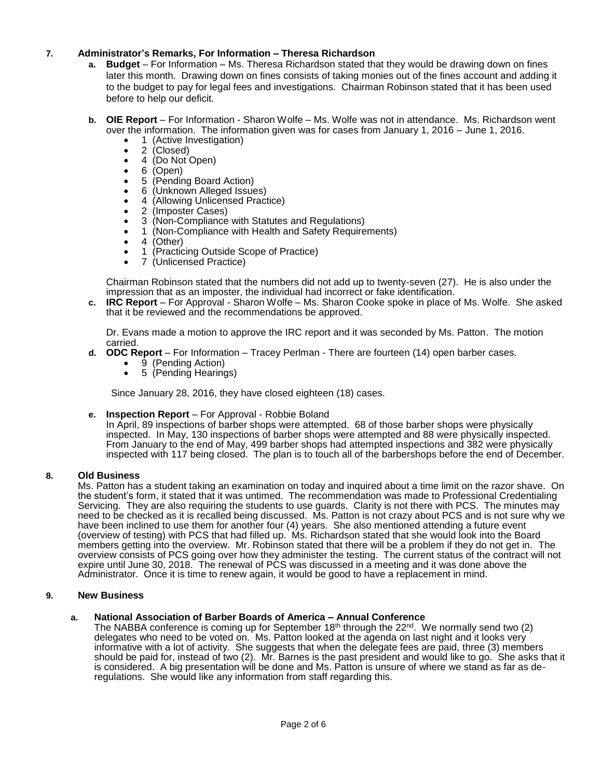# **7. Administrator's Remarks, For Information – Theresa Richardson**

- **a. Budget**  For Information Ms. Theresa Richardson stated that they would be drawing down on fines later this month. Drawing down on fines consists of taking monies out of the fines account and adding it to the budget to pay for legal fees and investigations. Chairman Robinson stated that it has been used before to help our deficit.
- **b. OIE Report**  For Information Sharon Wolfe Ms. Wolfe was not in attendance. Ms. Richardson went over the information. The information given was for cases from January 1, 2016 – June 1, 2016.
	- 1 (Active Investigation)
	- 2 (Closed)
	- 4 (Do Not Open)
	- $\bullet$  6 (Open)
	- 5 (Pending Board Action)
	- 6 (Unknown Alleged Issues)
	- 4 (Allowing Unlicensed Practice)
	- 2 (Imposter Cases)
	- 3 (Non-Compliance with Statutes and Regulations)
	- 1 (Non-Compliance with Health and Safety Requirements)
	- $\bullet$  4 (Other)
	- 1 (Practicing Outside Scope of Practice)
	- 7 (Unlicensed Practice)

Chairman Robinson stated that the numbers did not add up to twenty-seven (27). He is also under the impression that as an imposter, the individual had incorrect or fake identification.

**c. IRC Report** – For Approval - Sharon Wolfe – Ms. Sharon Cooke spoke in place of Ms. Wolfe. She asked that it be reviewed and the recommendations be approved.

Dr. Evans made a motion to approve the IRC report and it was seconded by Ms. Patton. The motion carried.

- **d. ODC Report**  For Information Tracey Perlman There are fourteen (14) open barber cases.
	- $\bullet$  9 (Pending Action)
	- 5 (Pending Hearings)

Since January 28, 2016, they have closed eighteen (18) cases.

# **e. Inspection Report** – For Approval - Robbie Boland

In April, 89 inspections of barber shops were attempted. 68 of those barber shops were physically inspected. In May, 130 inspections of barber shops were attempted and 88 were physically inspected. From January to the end of May, 499 barber shops had attempted inspections and 382 were physically inspected with 117 being closed. The plan is to touch all of the barbershops before the end of December.

# **8. Old Business**

Ms. Patton has a student taking an examination on today and inquired about a time limit on the razor shave. On the student's form, it stated that it was untimed. The recommendation was made to Professional Credentialing Servicing. They are also requiring the students to use guards. Clarity is not there with PCS. The minutes may need to be checked as it is recalled being discussed. Ms. Patton is not crazy about PCS and is not sure why we have been inclined to use them for another four (4) years. She also mentioned attending a future event (overview of testing) with PCS that had filled up. Ms. Richardson stated that she would look into the Board members getting into the overview. Mr. Robinson stated that there will be a problem if they do not get in. The overview consists of PCS going over how they administer the testing. The current status of the contract will not expire until June 30, 2018. The renewal of PCS was discussed in a meeting and it was done above the Administrator. Once it is time to renew again, it would be good to have a replacement in mind.

### **9. New Business**

# **a. National Association of Barber Boards of America – Annual Conference**

The NABBA conference is coming up for September 18<sup>th</sup> through the  $22<sup>nd</sup>$ . We normally send two (2) delegates who need to be voted on. Ms. Patton looked at the agenda on last night and it looks very informative with a lot of activity. She suggests that when the delegate fees are paid, three (3) members should be paid for, instead of two (2). Mr. Barnes is the past president and would like to go. She asks that it is considered. A big presentation will be done and Ms. Patton is unsure of where we stand as far as deregulations. She would like any information from staff regarding this.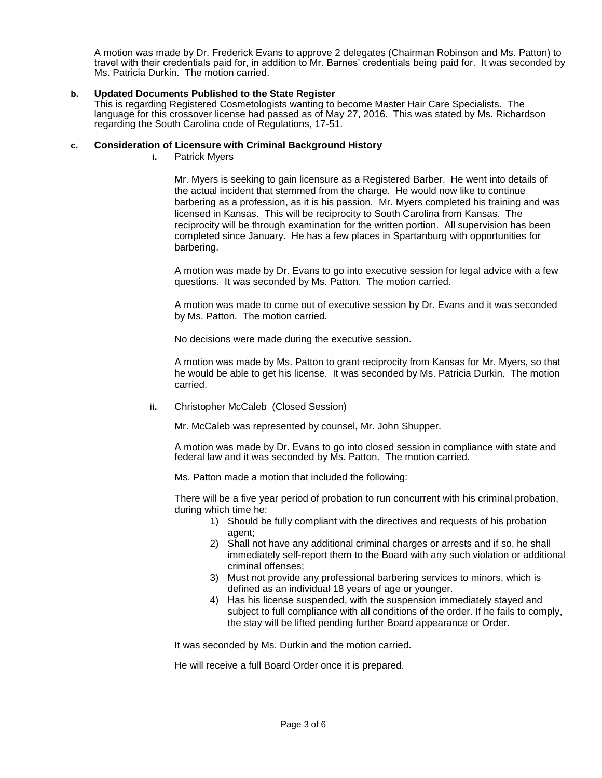A motion was made by Dr. Frederick Evans to approve 2 delegates (Chairman Robinson and Ms. Patton) to travel with their credentials paid for, in addition to Mr. Barnes' credentials being paid for. It was seconded by Ms. Patricia Durkin. The motion carried.

# **b. Updated Documents Published to the State Register**

This is regarding Registered Cosmetologists wanting to become Master Hair Care Specialists. The language for this crossover license had passed as of May 27, 2016. This was stated by Ms. Richardson regarding the South Carolina code of Regulations, 17-51.

### **c. Consideration of Licensure with Criminal Background History**

**i.** Patrick Myers

Mr. Myers is seeking to gain licensure as a Registered Barber. He went into details of the actual incident that stemmed from the charge. He would now like to continue barbering as a profession, as it is his passion. Mr. Myers completed his training and was licensed in Kansas. This will be reciprocity to South Carolina from Kansas. The reciprocity will be through examination for the written portion. All supervision has been completed since January. He has a few places in Spartanburg with opportunities for barbering.

A motion was made by Dr. Evans to go into executive session for legal advice with a few questions. It was seconded by Ms. Patton. The motion carried.

A motion was made to come out of executive session by Dr. Evans and it was seconded by Ms. Patton. The motion carried.

No decisions were made during the executive session.

A motion was made by Ms. Patton to grant reciprocity from Kansas for Mr. Myers, so that he would be able to get his license. It was seconded by Ms. Patricia Durkin. The motion carried.

**ii.** Christopher McCaleb (Closed Session)

Mr. McCaleb was represented by counsel, Mr. John Shupper.

A motion was made by Dr. Evans to go into closed session in compliance with state and federal law and it was seconded by Ms. Patton. The motion carried.

Ms. Patton made a motion that included the following:

There will be a five year period of probation to run concurrent with his criminal probation, during which time he:

- 1) Should be fully compliant with the directives and requests of his probation agent:
- 2) Shall not have any additional criminal charges or arrests and if so, he shall immediately self-report them to the Board with any such violation or additional criminal offenses;
- 3) Must not provide any professional barbering services to minors, which is defined as an individual 18 years of age or younger.
- 4) Has his license suspended, with the suspension immediately stayed and subject to full compliance with all conditions of the order. If he fails to comply, the stay will be lifted pending further Board appearance or Order.

It was seconded by Ms. Durkin and the motion carried.

He will receive a full Board Order once it is prepared.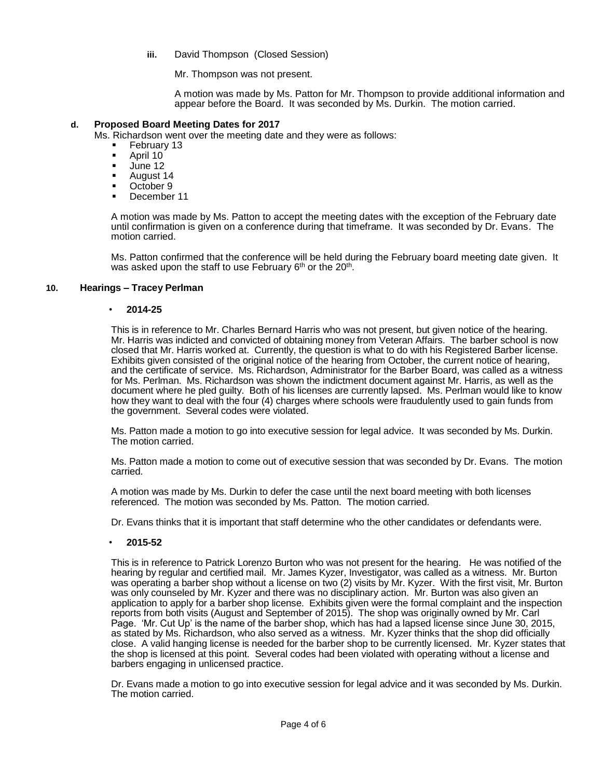**iii.** David Thompson (Closed Session)

Mr. Thompson was not present.

A motion was made by Ms. Patton for Mr. Thompson to provide additional information and appear before the Board. It was seconded by Ms. Durkin. The motion carried.

# **d. Proposed Board Meeting Dates for 2017**

Ms. Richardson went over the meeting date and they were as follows:

- **February 13**<br>April 10
- April 10
- $-$  June 12
- August 14
- **C**Ctober 9
- December 11

A motion was made by Ms. Patton to accept the meeting dates with the exception of the February date until confirmation is given on a conference during that timeframe. It was seconded by Dr. Evans. The motion carried.

Ms. Patton confirmed that the conference will be held during the February board meeting date given. It was asked upon the staff to use February 6<sup>th</sup> or the 20<sup>th</sup>.

# **10. Hearings – Tracey Perlman**

### • **2014-25**

This is in reference to Mr. Charles Bernard Harris who was not present, but given notice of the hearing. Mr. Harris was indicted and convicted of obtaining money from Veteran Affairs. The barber school is now closed that Mr. Harris worked at. Currently, the question is what to do with his Registered Barber license. Exhibits given consisted of the original notice of the hearing from October, the current notice of hearing, and the certificate of service. Ms. Richardson, Administrator for the Barber Board, was called as a witness for Ms. Perlman. Ms. Richardson was shown the indictment document against Mr. Harris, as well as the document where he pled guilty. Both of his licenses are currently lapsed. Ms. Perlman would like to know how they want to deal with the four (4) charges where schools were fraudulently used to gain funds from the government. Several codes were violated.

Ms. Patton made a motion to go into executive session for legal advice. It was seconded by Ms. Durkin. The motion carried.

Ms. Patton made a motion to come out of executive session that was seconded by Dr. Evans. The motion carried.

A motion was made by Ms. Durkin to defer the case until the next board meeting with both licenses referenced. The motion was seconded by Ms. Patton. The motion carried.

Dr. Evans thinks that it is important that staff determine who the other candidates or defendants were.

# • **2015-52**

This is in reference to Patrick Lorenzo Burton who was not present for the hearing. He was notified of the hearing by regular and certified mail. Mr. James Kyzer, Investigator, was called as a witness. Mr. Burton was operating a barber shop without a license on two (2) visits by Mr. Kyzer. With the first visit, Mr. Burton was only counseled by Mr. Kyzer and there was no disciplinary action. Mr. Burton was also given an application to apply for a barber shop license. Exhibits given were the formal complaint and the inspection reports from both visits (August and September of 2015). The shop was originally owned by Mr. Carl Page. 'Mr. Cut Up' is the name of the barber shop, which has had a lapsed license since June 30, 2015, as stated by Ms. Richardson, who also served as a witness. Mr. Kyzer thinks that the shop did officially close. A valid hanging license is needed for the barber shop to be currently licensed. Mr. Kyzer states that the shop is licensed at this point. Several codes had been violated with operating without a license and barbers engaging in unlicensed practice.

Dr. Evans made a motion to go into executive session for legal advice and it was seconded by Ms. Durkin. The motion carried.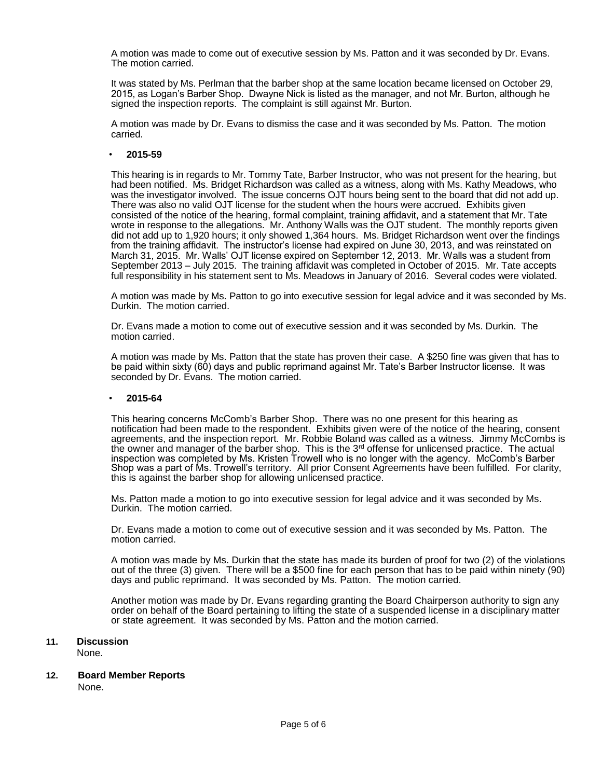A motion was made to come out of executive session by Ms. Patton and it was seconded by Dr. Evans. The motion carried.

It was stated by Ms. Perlman that the barber shop at the same location became licensed on October 29, 2015, as Logan's Barber Shop. Dwayne Nick is listed as the manager, and not Mr. Burton, although he signed the inspection reports. The complaint is still against Mr. Burton.

A motion was made by Dr. Evans to dismiss the case and it was seconded by Ms. Patton. The motion carried.

### • **2015-59**

This hearing is in regards to Mr. Tommy Tate, Barber Instructor, who was not present for the hearing, but had been notified. Ms. Bridget Richardson was called as a witness, along with Ms. Kathy Meadows, who was the investigator involved. The issue concerns OJT hours being sent to the board that did not add up. There was also no valid OJT license for the student when the hours were accrued. Exhibits given consisted of the notice of the hearing, formal complaint, training affidavit, and a statement that Mr. Tate wrote in response to the allegations. Mr. Anthony Walls was the OJT student. The monthly reports given did not add up to 1,920 hours; it only showed 1,364 hours. Ms. Bridget Richardson went over the findings from the training affidavit. The instructor's license had expired on June 30, 2013, and was reinstated on March 31, 2015. Mr. Walls' OJT license expired on September 12, 2013. Mr. Walls was a student from September 2013 – July 2015. The training affidavit was completed in October of 2015. Mr. Tate accepts full responsibility in his statement sent to Ms. Meadows in January of 2016. Several codes were violated.

A motion was made by Ms. Patton to go into executive session for legal advice and it was seconded by Ms. Durkin. The motion carried.

Dr. Evans made a motion to come out of executive session and it was seconded by Ms. Durkin. The motion carried.

A motion was made by Ms. Patton that the state has proven their case. A \$250 fine was given that has to be paid within sixty (60) days and public reprimand against Mr. Tate's Barber Instructor license. It was seconded by Dr. Evans. The motion carried.

### • **2015-64**

This hearing concerns McComb's Barber Shop. There was no one present for this hearing as notification had been made to the respondent. Exhibits given were of the notice of the hearing, consent agreements, and the inspection report. Mr. Robbie Boland was called as a witness. Jimmy McCombs is the owner and manager of the barber shop. This is the  $3<sup>rd</sup>$  offense for unlicensed practice. The actual inspection was completed by Ms. Kristen Trowell who is no longer with the agency. McComb's Barber Shop was a part of Ms. Trowell's territory. All prior Consent Agreements have been fulfilled. For clarity, this is against the barber shop for allowing unlicensed practice.

Ms. Patton made a motion to go into executive session for legal advice and it was seconded by Ms. Durkin. The motion carried.

Dr. Evans made a motion to come out of executive session and it was seconded by Ms. Patton. The motion carried.

A motion was made by Ms. Durkin that the state has made its burden of proof for two (2) of the violations out of the three (3) given. There will be a \$500 fine for each person that has to be paid within ninety (90) days and public reprimand. It was seconded by Ms. Patton. The motion carried.

Another motion was made by Dr. Evans regarding granting the Board Chairperson authority to sign any order on behalf of the Board pertaining to lifting the state of a suspended license in a disciplinary matter or state agreement. It was seconded by Ms. Patton and the motion carried.

# **11. Discussion**

None.

# **12. Board Member Reports**

None.